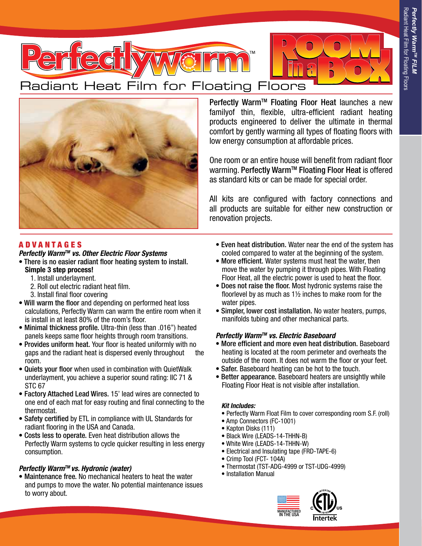



Perfectly Warm™ Floating Floor Heat launches a new familyof thin, flexible, ultra-efficient radiant heating products engineered to deliver the ultimate in thermal comfort by gently warming all types of floating floors with low energy consumption at affordable prices.

One room or an entire house will benefit from radiant floor warming. Perfectly Warm™ Floating Floor Heat is offered as standard kits or can be made for special order.

All kits are configured with factory connections and all products are suitable for either new construction or renovation projects.

# A D V A N T A G E S

## *Perfectly WarmTM vs. Other Electric Floor Systems*

• There is no easier radiant floor heating system to install.

- Simple 3 step process!
	- 1. Install underlayment.
	- 2. Roll out electric radiant heat film.
	- 3. Install final floor covering
- Will warm the floor and depending on performed heat loss calculations, Perfectly Warm can warm the entire room when it is install in at least 80% of the room's floor.
- Minimal thickness profile. Ultra-thin (less than .016") heated panels keeps same floor heights through room transitions.
- Provides uniform heat. Your floor is heated uniformly with no gaps and the radiant heat is dispersed evenly throughout the room.
- Quiets your floor when used in combination with QuietWalk underlayment, you achieve a superior sound rating: IIC 71 & STC 67
- Factory Attached Lead Wires. 15' lead wires are connected to one end of each mat for easy routing and final connecting to the thermostat.
- Safety certified by ETL in compliance with UL Standards for radiant flooring in the USA and Canada.
- Costs less to operate. Even heat distribution allows the Perfectly Warm systems to cycle quicker resulting in less energy consumption.

## *Perfectly WarmTM vs. Hydronic (water)*

• Maintenance free. No mechanical heaters to heat the water and pumps to move the water. No potential maintenance issues to worry about.

- Even heat distribution. Water near the end of the system has cooled compared to water at the beginning of the system.
- More efficient. Water systems must heat the water, then move the water by pumping it through pipes. With Floating Floor Heat, all the electric power is used to heat the floor.
- Does not raise the floor. Most hydronic systems raise the floorlevel by as much as 1½ inches to make room for the water pipes.
- Simpler, lower cost installation. No water heaters, pumps, manifolds tubing and other mechanical parts.

## *Perfectly WarmTM vs. Electric Baseboard*

- More efficient and more even heat distribution. Baseboard heating is located at the room perimeter and overheats the outside of the room. It does not warm the floor or your feet.
- Safer. Baseboard heating can be hot to the touch.
- Better appearance. Baseboard heaters are unsightly while Floating Floor Heat is not visible after installation.

## *Kit Includes:*

- Perfectly Warm Float Film to cover corresponding room S.F. (roll)
- Amp Connectors (FC-1001)
- Kapton Disks (111)
- Black Wire (LEADS-14-THHN-B)
- White Wire (LEADS-14-THHN-W)
- Electrical and Insulating tape (FRD-TAPE-6)
- Crimp Tool (FCT- 104A)
- Thermostat (TST-ADG-4999 or TST-UDG-4999)
- Installation Manual